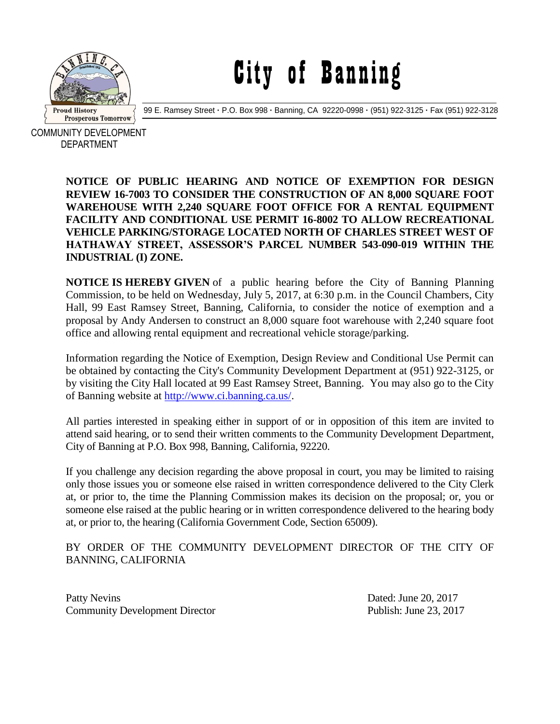

## City of Banning

99 E. Ramsey Street **·** P.O. Box 998 **·** Banning, CA 92220-0998 **·** (951) 922-3125 **·** Fax (951) 922-3128

COMMUNITY DEVELOPMENT DEPARTMENT

> **NOTICE OF PUBLIC HEARING AND NOTICE OF EXEMPTION FOR DESIGN REVIEW 16-7003 TO CONSIDER THE CONSTRUCTION OF AN 8,000 SQUARE FOOT WAREHOUSE WITH 2,240 SQUARE FOOT OFFICE FOR A RENTAL EQUIPMENT FACILITY AND CONDITIONAL USE PERMIT 16-8002 TO ALLOW RECREATIONAL VEHICLE PARKING/STORAGE LOCATED NORTH OF CHARLES STREET WEST OF HATHAWAY STREET, ASSESSOR'S PARCEL NUMBER 543-090-019 WITHIN THE INDUSTRIAL (I) ZONE.**

> **NOTICE IS HEREBY GIVEN** of a public hearing before the City of Banning Planning Commission, to be held on Wednesday, July 5, 2017, at 6:30 p.m. in the Council Chambers, City Hall, 99 East Ramsey Street, Banning, California, to consider the notice of exemption and a proposal by Andy Andersen to construct an 8,000 square foot warehouse with 2,240 square foot office and allowing rental equipment and recreational vehicle storage/parking.

> Information regarding the Notice of Exemption, Design Review and Conditional Use Permit can be obtained by contacting the City's Community Development Department at (951) 922-3125, or by visiting the City Hall located at 99 East Ramsey Street, Banning. You may also go to the City of Banning website at [http://www.ci.banning.ca.us/.](http://www.ci.banning.ca.us/)

> All parties interested in speaking either in support of or in opposition of this item are invited to attend said hearing, or to send their written comments to the Community Development Department, City of Banning at P.O. Box 998, Banning, California, 92220.

> If you challenge any decision regarding the above proposal in court, you may be limited to raising only those issues you or someone else raised in written correspondence delivered to the City Clerk at, or prior to, the time the Planning Commission makes its decision on the proposal; or, you or someone else raised at the public hearing or in written correspondence delivered to the hearing body at, or prior to, the hearing (California Government Code, Section 65009).

## BY ORDER OF THE COMMUNITY DEVELOPMENT DIRECTOR OF THE CITY OF BANNING, CALIFORNIA

Patty Nevins Dated: June 20, 2017 Community Development Director Publish: June 23, 2017